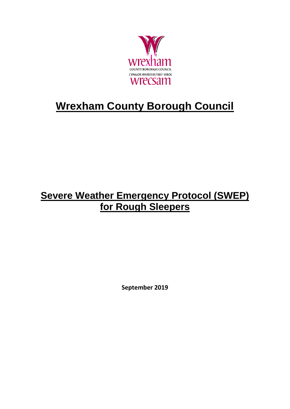

# **Wrexham County Borough Council**

# **Severe Weather Emergency Protocol (SWEP) for Rough Sleepers**

**September 2019**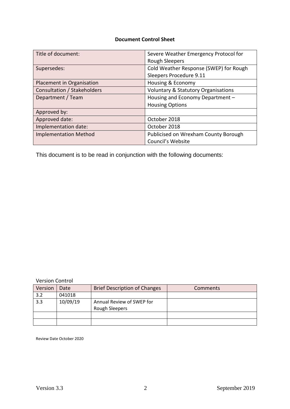#### **Document Control Sheet**

| Title of document:           | Severe Weather Emergency Protocol for          |
|------------------------------|------------------------------------------------|
|                              | <b>Rough Sleepers</b>                          |
| Supersedes:                  | Cold Weather Response (SWEP) for Rough         |
|                              | Sleepers Procedure 9.11                        |
| Placement in Organisation    | Housing & Economy                              |
| Consultation / Stakeholders  | <b>Voluntary &amp; Statutory Organisations</b> |
| Department / Team            | Housing and Economy Department -               |
|                              | <b>Housing Options</b>                         |
| Approved by:                 |                                                |
| Approved date:               | October 2018                                   |
| Implementation date:         | October 2018                                   |
| <b>Implementation Method</b> | Publicised on Wrexham County Borough           |
|                              | Council's Website                              |

This document is to be read in conjunction with the following documents:

Version Control

| Version | Date     | <b>Brief Description of Changes</b>         | <b>Comments</b> |
|---------|----------|---------------------------------------------|-----------------|
| 3.2     | 041018   |                                             |                 |
| 3.3     | 10/09/19 | Annual Review of SWEP for<br>Rough Sleepers |                 |
|         |          |                                             |                 |
|         |          |                                             |                 |

Review Date October 2020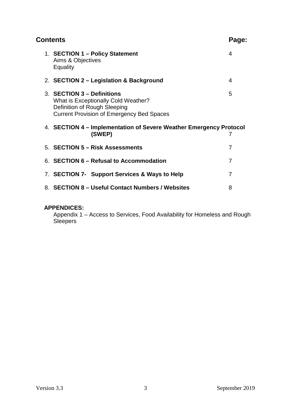| Contents |  |                                                                                                                                                              | Page: |
|----------|--|--------------------------------------------------------------------------------------------------------------------------------------------------------------|-------|
|          |  | 1. SECTION 1 - Policy Statement<br>Aims & Objectives<br>Equality                                                                                             | 4     |
|          |  | 2. SECTION 2 – Legislation & Background                                                                                                                      | 4     |
|          |  | 3. SECTION 3 - Definitions<br><b>What is Exceptionally Cold Weather?</b><br>Definition of Rough Sleeping<br><b>Current Provision of Emergency Bed Spaces</b> | 5     |
|          |  | 4. SECTION 4 – Implementation of Severe Weather Emergency Protocol<br>(SWEP)                                                                                 | 7     |
|          |  | 5. SECTION 5 - Risk Assessments                                                                                                                              | 7     |
|          |  | 6. SECTION 6 – Refusal to Accommodation                                                                                                                      | 7     |
|          |  | 7. SECTION 7- Support Services & Ways to Help                                                                                                                | 7     |
|          |  | 8. SECTION 8 - Useful Contact Numbers / Websites                                                                                                             | 8     |
|          |  |                                                                                                                                                              |       |

#### **APPENDICES:**

Appendix 1 – Access to Services, Food Availability for Homeless and Rough Sleepers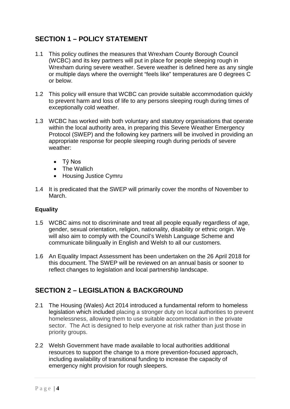# **SECTION 1 – POLICY STATEMENT**

- 1.1 This policy outlines the measures that Wrexham County Borough Council (WCBC) and its key partners will put in place for people sleeping rough in Wrexham during severe weather. Severe weather is defined here as any single or multiple days where the overnight "feels like" temperatures are 0 degrees C or below.
- 1.2 This policy will ensure that WCBC can provide suitable accommodation quickly to prevent harm and loss of life to any persons sleeping rough during times of exceptionally cold weather.
- 1.3 WCBC has worked with both voluntary and statutory organisations that operate within the local authority area, in preparing this Severe Weather Emergency Protocol (SWEP) and the following key partners will be involved in providing an appropriate response for people sleeping rough during periods of severe weather:
	- Tŷ Nos
	- The Wallich
	- Housing Justice Cymru
- 1.4 It is predicated that the SWEP will primarily cover the months of November to March.

#### **Equality**

- 1.5 WCBC aims not to discriminate and treat all people equally regardless of age, gender, sexual orientation, religion, nationality, disability or ethnic origin. We will also aim to comply with the Council's Welsh Language Scheme and communicate bilingually in English and Welsh to all our customers.
- 1.6 An Equality Impact Assessment has been undertaken on the 26 April 2018 for this document. The SWEP will be reviewed on an annual basis or sooner to reflect changes to legislation and local partnership landscape.

# **SECTION 2 – LEGISLATION & BACKGROUND**

- 2.1 The Housing (Wales) Act 2014 introduced a fundamental reform to homeless legislation which included placing a stronger duty on local authorities to prevent homelessness, allowing them to use suitable accommodation in the private sector. The Act is designed to help everyone at risk rather than just those in priority groups.
- 2.2 Welsh Government have made available to local authorities additional resources to support the change to a more prevention-focused approach, including availability of transitional funding to increase the capacity of emergency night provision for rough sleepers.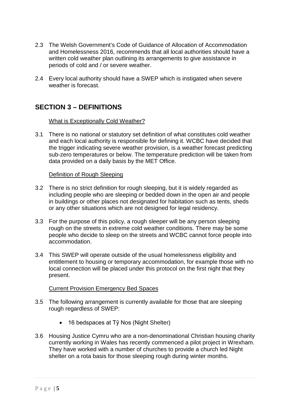- 2.3 The Welsh Government's Code of Guidance of Allocation of Accommodation and Homelessness 2016, recommends that all local authorities should have a written cold weather plan outlining its arrangements to give assistance in periods of cold and / or severe weather.
- 2.4 Every local authority should have a SWEP which is instigated when severe weather is forecast.

# **SECTION 3 – DEFINITIONS**

#### What is Exceptionally Cold Weather?

3.1 There is no national or statutory set definition of what constitutes cold weather and each local authority is responsible for defining it. WCBC have decided that the trigger indicating severe weather provision, is a weather forecast predicting sub-zero temperatures or below. The temperature prediction will be taken from data provided on a daily basis by the MET Office.

#### Definition of Rough Sleeping

- 3.2 There is no strict definition for rough sleeping, but it is widely regarded as including people who are sleeping or bedded down in the open air and people in buildings or other places not designated for habitation such as tents, sheds or any other situations which are not designed for legal residency.
- 3.3 For the purpose of this policy, a rough sleeper will be any person sleeping rough on the streets in extreme cold weather conditions. There may be some people who decide to sleep on the streets and WCBC cannot force people into accommodation.
- 3.4 This SWEP will operate outside of the usual homelessness eligibility and entitlement to housing or temporary accommodation, for example those with no local connection will be placed under this protocol on the first night that they present.

#### Current Provision Emergency Bed Spaces

- 3.5 The following arrangement is currently available for those that are sleeping rough regardless of SWEP:
	- 16 bedspaces at Tŷ Nos (Night Shelter)
- 3.6 Housing Justice Cymru who are a non-denominational Christian housing charity currently working in Wales has recently commenced a pilot project in Wrexham. They have worked with a number of churches to provide a church led Night shelter on a rota basis for those sleeping rough during winter months.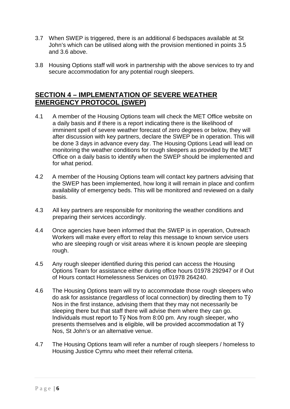- 3.7 When SWEP is triggered, there is an additional *6* bedspaces available at St John's which can be utilised along with the provision mentioned in points 3.5 and 3.6 above.
- 3.8 Housing Options staff will work in partnership with the above services to try and secure accommodation for any potential rough sleepers.

## **SECTION 4 – IMPLEMENTATION OF SEVERE WEATHER EMERGENCY PROTOCOL (SWEP)**

- 4.1 A member of the Housing Options team will check the MET Office website on a daily basis and if there is a report indicating there is the likelihood of imminent spell of severe weather forecast of zero degrees or below, they will after discussion with key partners, declare the SWEP be in operation. This will be done 3 days in advance every day. The Housing Options Lead will lead on monitoring the weather conditions for rough sleepers as provided by the MET Office on a daily basis to identify when the SWEP should be implemented and for what period.
- 4.2 A member of the Housing Options team will contact key partners advising that the SWEP has been implemented, how long it will remain in place and confirm availability of emergency beds. This will be monitored and reviewed on a daily basis.
- 4.3 All key partners are responsible for monitoring the weather conditions and preparing their services accordingly.
- 4.4 Once agencies have been informed that the SWEP is in operation, Outreach Workers will make every effort to relay this message to known service users who are sleeping rough or visit areas where it is known people are sleeping rough.
- 4.5 Any rough sleeper identified during this period can access the Housing Options Team for assistance either during office hours 01978 292947 or if Out of Hours contact Homelessness Services on 01978 264240.
- 4.6 The Housing Options team will try to accommodate those rough sleepers who do ask for assistance (regardless of local connection) by directing them to Tŷ Nos in the first instance, advising them that they may not necessarily be sleeping there but that staff there will advise them where they can go. Individuals must report to Tŷ Nos from 8:00 pm. Any rough sleeper, who presents themselves and is eligible, will be provided accommodation at Tŷ Nos, St John's or an alternative venue.
- 4.7 The Housing Options team will refer a number of rough sleepers / homeless to Housing Justice Cymru who meet their referral criteria.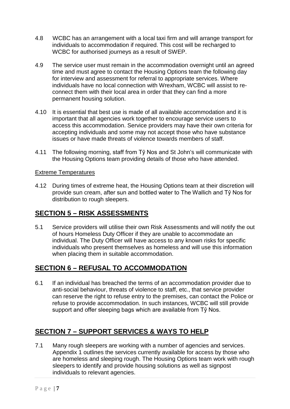- 4.8 WCBC has an arrangement with a local taxi firm and will arrange transport for individuals to accommodation if required. This cost will be recharged to WCBC for authorised journeys as a result of SWEP.
- 4.9 The service user must remain in the accommodation overnight until an agreed time and must agree to contact the Housing Options team the following day for interview and assessment for referral to appropriate services. Where individuals have no local connection with Wrexham, WCBC will assist to reconnect them with their local area in order that they can find a more permanent housing solution.
- 4.10 It is essential that best use is made of all available accommodation and it is important that all agencies work together to encourage service users to access this accommodation. Service providers may have their own criteria for accepting individuals and some may not accept those who have substance issues or have made threats of violence towards members of staff.
- 4.11 The following morning, staff from Tŷ Nos and St John's will communicate with the Housing Options team providing details of those who have attended.

#### Extreme Temperatures

4.12 During times of extreme heat, the Housing Options team at their discretion will provide sun cream, after sun and bottled water to The Wallich and Tŷ Nos for distribution to rough sleepers.

## **SECTION 5 – RISK ASSESSMENTS**

5.1 Service providers will utilise their own Risk Assessments and will notify the out of hours Homeless Duty Officer if they are unable to accommodate an individual. The Duty Officer will have access to any known risks for specific individuals who present themselves as homeless and will use this information when placing them in suitable accommodation.

# **SECTION 6 – REFUSAL TO ACCOMMODATION**

6.1 If an individual has breached the terms of an accommodation provider due to anti-social behaviour, threats of violence to staff, etc., that service provider can reserve the right to refuse entry to the premises, can contact the Police or refuse to provide accommodation. In such instances, WCBC will still provide support and offer sleeping bags which are available from Tŷ Nos.

# **SECTION 7 – SUPPORT SERVICES & WAYS TO HELP**

7.1 Many rough sleepers are working with a number of agencies and services. Appendix 1 outlines the services currently available for access by those who are homeless and sleeping rough. The Housing Options team work with rough sleepers to identify and provide housing solutions as well as signpost individuals to relevant agencies.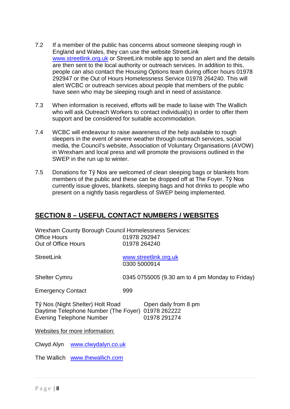- 7.2 If a member of the public has concerns about someone sleeping rough in England and Wales, they can use the website StreetLink [www.streetlink.org.uk](http://www.streetlink.org.uk/) or StreetLink mobile app to send an alert and the details are then sent to the local authority or outreach services. In addition to this, people can also contact the Housing Options team during officer hours 01978 292947 or the Out of Hours Homelessness Service 01978 264240. This will alert WCBC or outreach services about people that members of the public have seen who may be sleeping rough and in need of assistance.
- 7.3 When information is received, efforts will be made to liaise with The Wallich who will ask Outreach Workers to contact individual(s) in order to offer them support and be considered for suitable accommodation.
- 7.4 WCBC will endeavour to raise awareness of the help available to rough sleepers in the event of severe weather through outreach services, social media, the Council's website, Association of Voluntary Organisations (AVOW) in Wrexham and local press and will promote the provisions outlined in the SWEP in the run up to winter.
- 7.5 Donations for Tŷ Nos are welcomed of clean sleeping bags or blankets from members of the public and these can be dropped off at The Foyer. Tŷ Nos currently issue gloves, blankets, sleeping bags and hot drinks to people who present on a nightly basis regardless of SWEP being implemented.

# **SECTION 8 – USEFUL CONTACT NUMBERS / WEBSITES**

| <b>Wrexham County Borough Council Homelessness Services:</b><br><b>Office Hours</b><br>01978 292947                                                              |                                                 |  |  |  |
|------------------------------------------------------------------------------------------------------------------------------------------------------------------|-------------------------------------------------|--|--|--|
| Out of Office Hours                                                                                                                                              | 01978 264240                                    |  |  |  |
| <b>StreetLink</b>                                                                                                                                                | www.streetlink.org.uk<br>0300 5000914           |  |  |  |
| <b>Shelter Cymru</b>                                                                                                                                             | 0345 0755005 (9.30 am to 4 pm Monday to Friday) |  |  |  |
| <b>Emergency Contact</b>                                                                                                                                         | 999                                             |  |  |  |
| Tŷ Nos (Night Shelter) Holt Road<br>Open daily from 8 pm<br>Daytime Telephone Number (The Foyer) 01978 262222<br><b>Evening Telephone Number</b><br>01978 291274 |                                                 |  |  |  |
| Websites for more information:                                                                                                                                   |                                                 |  |  |  |
| Clwyd Alyn www.clwydalyn.co.uk                                                                                                                                   |                                                 |  |  |  |
| The Wallich www.thewallich.com                                                                                                                                   |                                                 |  |  |  |